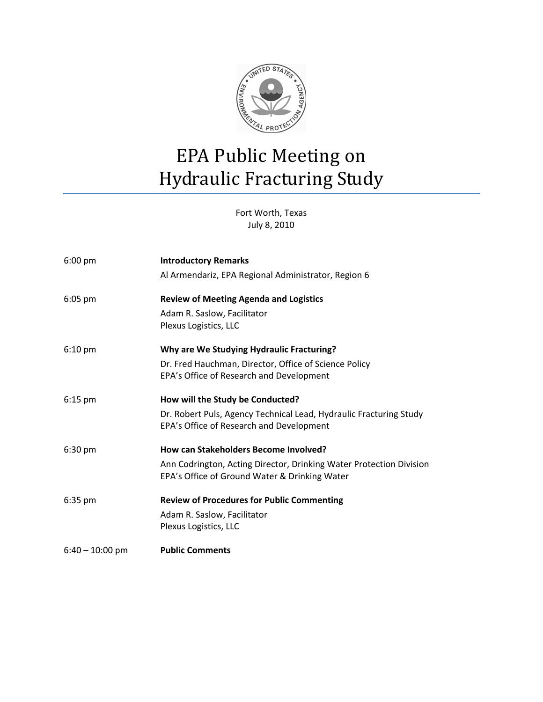

Fort Worth, Texas July 8, 2010

| $6:00$ pm         | <b>Introductory Remarks</b>                                                                                          |
|-------------------|----------------------------------------------------------------------------------------------------------------------|
|                   | Al Armendariz, EPA Regional Administrator, Region 6                                                                  |
| $6:05$ pm         | <b>Review of Meeting Agenda and Logistics</b>                                                                        |
|                   | Adam R. Saslow, Facilitator<br>Plexus Logistics, LLC                                                                 |
| $6:10 \text{ pm}$ | Why are We Studying Hydraulic Fracturing?                                                                            |
|                   | Dr. Fred Hauchman, Director, Office of Science Policy<br>EPA's Office of Research and Development                    |
| $6:15$ pm         | How will the Study be Conducted?                                                                                     |
|                   | Dr. Robert Puls, Agency Technical Lead, Hydraulic Fracturing Study<br>EPA's Office of Research and Development       |
| 6:30 pm           | How can Stakeholders Become Involved?                                                                                |
|                   | Ann Codrington, Acting Director, Drinking Water Protection Division<br>EPA's Office of Ground Water & Drinking Water |
| $6:35$ pm         | <b>Review of Procedures for Public Commenting</b>                                                                    |
|                   | Adam R. Saslow, Facilitator<br>Plexus Logistics, LLC                                                                 |
| $6:40 - 10:00$ pm | <b>Public Comments</b>                                                                                               |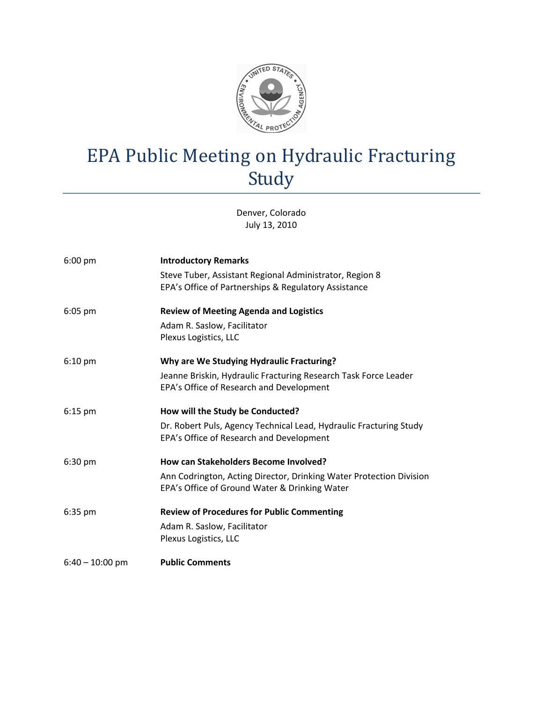

Denver, Colorado July 13, 2010

| $6:00$ pm         | <b>Introductory Remarks</b>                                         |
|-------------------|---------------------------------------------------------------------|
|                   | Steve Tuber, Assistant Regional Administrator, Region 8             |
|                   | EPA's Office of Partnerships & Regulatory Assistance                |
| $6:05$ pm         | <b>Review of Meeting Agenda and Logistics</b>                       |
|                   | Adam R. Saslow, Facilitator                                         |
|                   | Plexus Logistics, LLC                                               |
| $6:10 \text{ pm}$ | Why are We Studying Hydraulic Fracturing?                           |
|                   | Jeanne Briskin, Hydraulic Fracturing Research Task Force Leader     |
|                   | EPA's Office of Research and Development                            |
| $6:15$ pm         | How will the Study be Conducted?                                    |
|                   | Dr. Robert Puls, Agency Technical Lead, Hydraulic Fracturing Study  |
|                   | EPA's Office of Research and Development                            |
| $6:30$ pm         | How can Stakeholders Become Involved?                               |
|                   | Ann Codrington, Acting Director, Drinking Water Protection Division |
|                   | EPA's Office of Ground Water & Drinking Water                       |
| $6:35$ pm         | <b>Review of Procedures for Public Commenting</b>                   |
|                   | Adam R. Saslow, Facilitator                                         |
|                   | Plexus Logistics, LLC                                               |
| $6:40 - 10:00$ pm | <b>Public Comments</b>                                              |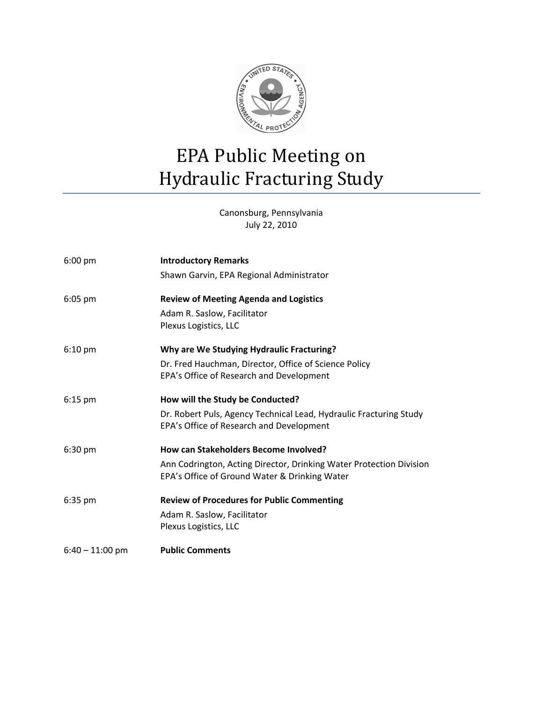

Canonsburg, Pennsylvania July 22, 2010

| $6:00 \text{ pm}$ | <b>Introductory Remarks</b>                                                                                          |
|-------------------|----------------------------------------------------------------------------------------------------------------------|
|                   | Shawn Garvin, EPA Regional Administrator                                                                             |
| $6:05$ pm         | <b>Review of Meeting Agenda and Logistics</b>                                                                        |
|                   | Adam R. Saslow, Facilitator<br>Plexus Logistics, LLC                                                                 |
| $6:10 \text{ pm}$ | Why are We Studying Hydraulic Fracturing?                                                                            |
|                   | Dr. Fred Hauchman, Director, Office of Science Policy<br>EPA's Office of Research and Development                    |
| $6:15$ pm         | How will the Study be Conducted?                                                                                     |
|                   | Dr. Robert Puls, Agency Technical Lead, Hydraulic Fracturing Study<br>EPA's Office of Research and Development       |
| $6:30$ pm         | How can Stakeholders Become Involved?                                                                                |
|                   | Ann Codrington, Acting Director, Drinking Water Protection Division<br>EPA's Office of Ground Water & Drinking Water |
| $6:35$ pm         | <b>Review of Procedures for Public Commenting</b>                                                                    |
|                   | Adam R. Saslow, Facilitator<br>Plexus Logistics, LLC                                                                 |
| $6:40 - 11:00$ pm | <b>Public Comments</b>                                                                                               |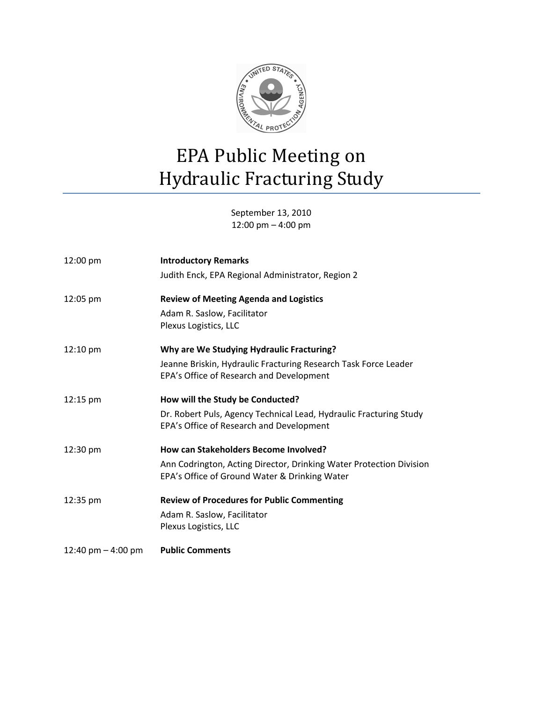

September 13, 2010 12:00 pm – 4:00 pm

| $12:00 \text{ pm}$   | <b>Introductory Remarks</b>                                         |
|----------------------|---------------------------------------------------------------------|
|                      | Judith Enck, EPA Regional Administrator, Region 2                   |
| 12:05 pm             | <b>Review of Meeting Agenda and Logistics</b>                       |
|                      | Adam R. Saslow, Facilitator                                         |
|                      | Plexus Logistics, LLC                                               |
| $12:10 \text{ pm}$   | Why are We Studying Hydraulic Fracturing?                           |
|                      | Jeanne Briskin, Hydraulic Fracturing Research Task Force Leader     |
|                      | EPA's Office of Research and Development                            |
| 12:15 pm             | How will the Study be Conducted?                                    |
|                      | Dr. Robert Puls, Agency Technical Lead, Hydraulic Fracturing Study  |
|                      | EPA's Office of Research and Development                            |
| 12:30 pm             | <b>How can Stakeholders Become Involved?</b>                        |
|                      | Ann Codrington, Acting Director, Drinking Water Protection Division |
|                      | EPA's Office of Ground Water & Drinking Water                       |
| 12:35 pm             | <b>Review of Procedures for Public Commenting</b>                   |
|                      | Adam R. Saslow, Facilitator                                         |
|                      | Plexus Logistics, LLC                                               |
| 12:40 pm $-$ 4:00 pm | <b>Public Comments</b>                                              |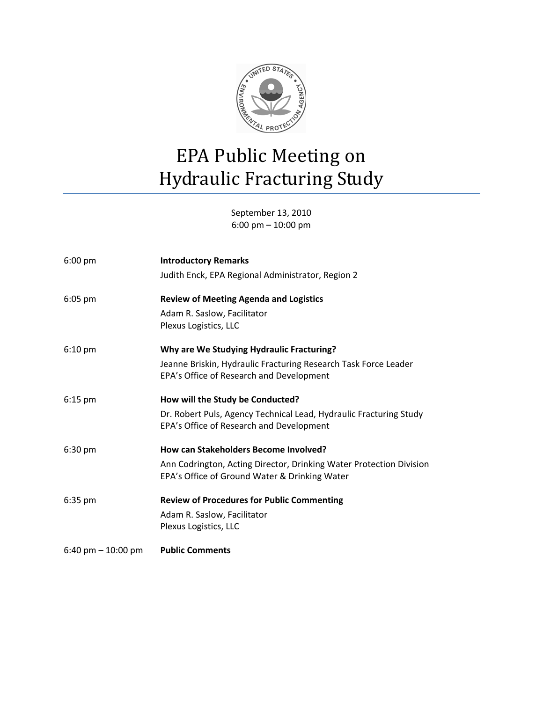

September 13, 2010 6:00 pm – 10:00 pm

| $6:00$ pm            | <b>Introductory Remarks</b>                                                                                          |
|----------------------|----------------------------------------------------------------------------------------------------------------------|
|                      | Judith Enck, EPA Regional Administrator, Region 2                                                                    |
| $6:05$ pm            | <b>Review of Meeting Agenda and Logistics</b>                                                                        |
|                      | Adam R. Saslow, Facilitator<br>Plexus Logistics, LLC                                                                 |
| $6:10 \text{ pm}$    | Why are We Studying Hydraulic Fracturing?                                                                            |
|                      | Jeanne Briskin, Hydraulic Fracturing Research Task Force Leader<br>EPA's Office of Research and Development          |
| $6:15$ pm            | How will the Study be Conducted?                                                                                     |
|                      | Dr. Robert Puls, Agency Technical Lead, Hydraulic Fracturing Study<br>EPA's Office of Research and Development       |
| 6:30 pm              | How can Stakeholders Become Involved?                                                                                |
|                      | Ann Codrington, Acting Director, Drinking Water Protection Division<br>EPA's Office of Ground Water & Drinking Water |
| $6:35$ pm            | <b>Review of Procedures for Public Commenting</b>                                                                    |
|                      | Adam R. Saslow, Facilitator<br>Plexus Logistics, LLC                                                                 |
| 6:40 pm $-$ 10:00 pm | <b>Public Comments</b>                                                                                               |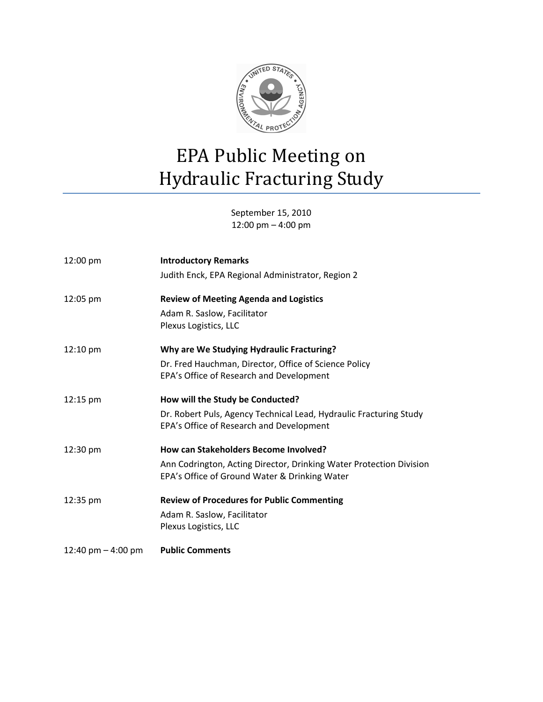

September 15, 2010 12:00 pm – 4:00 pm

| 12:00 pm             | <b>Introductory Remarks</b>                                                                                          |
|----------------------|----------------------------------------------------------------------------------------------------------------------|
|                      | Judith Enck, EPA Regional Administrator, Region 2                                                                    |
| 12:05 pm             | <b>Review of Meeting Agenda and Logistics</b>                                                                        |
|                      | Adam R. Saslow, Facilitator<br>Plexus Logistics, LLC                                                                 |
| 12:10 pm             | Why are We Studying Hydraulic Fracturing?                                                                            |
|                      | Dr. Fred Hauchman, Director, Office of Science Policy<br>EPA's Office of Research and Development                    |
| 12:15 pm             | How will the Study be Conducted?                                                                                     |
|                      | Dr. Robert Puls, Agency Technical Lead, Hydraulic Fracturing Study<br>EPA's Office of Research and Development       |
| 12:30 pm             | How can Stakeholders Become Involved?                                                                                |
|                      | Ann Codrington, Acting Director, Drinking Water Protection Division<br>EPA's Office of Ground Water & Drinking Water |
| 12:35 pm             | <b>Review of Procedures for Public Commenting</b>                                                                    |
|                      | Adam R. Saslow, Facilitator<br>Plexus Logistics, LLC                                                                 |
| 12:40 pm $-$ 4:00 pm | <b>Public Comments</b>                                                                                               |